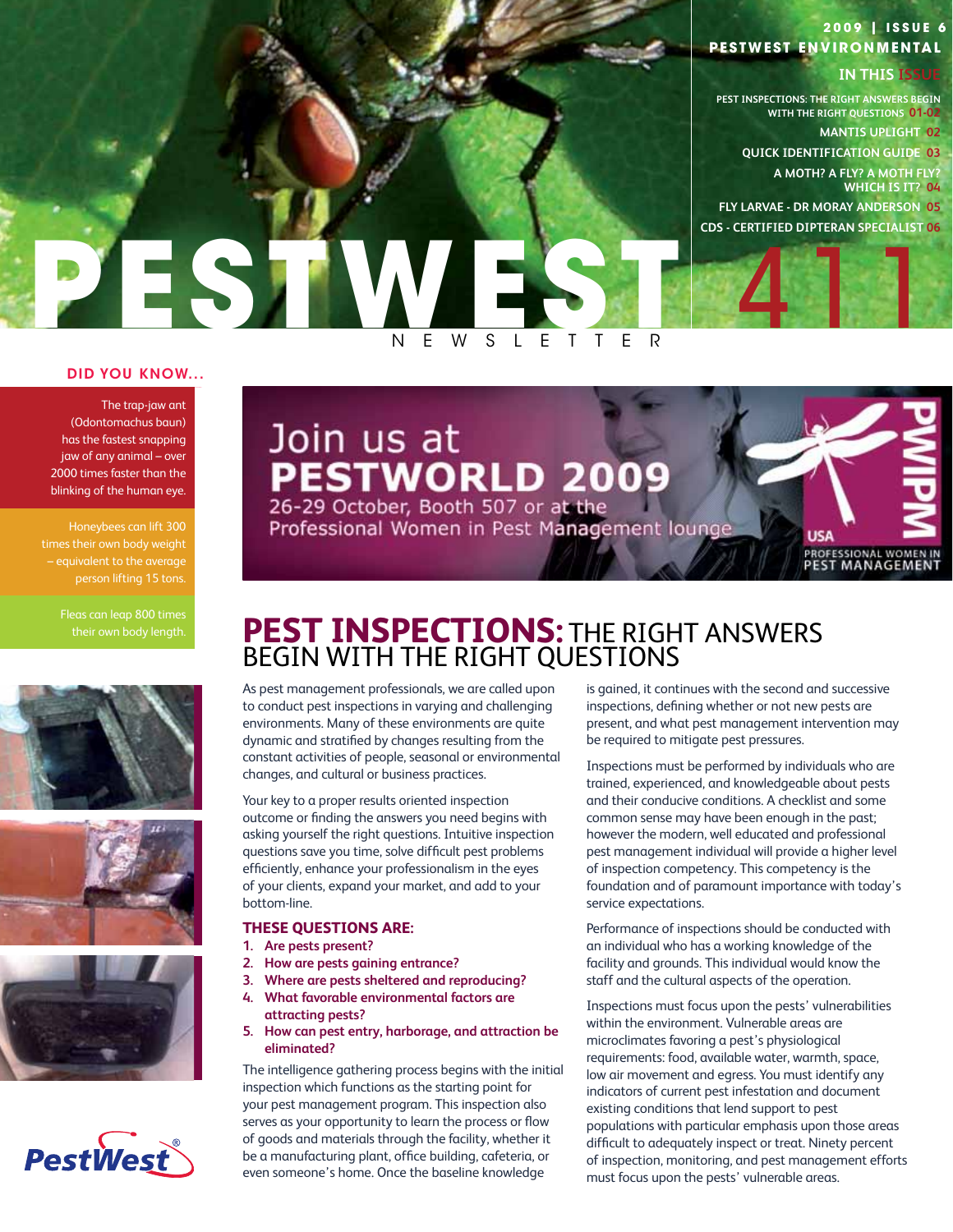# **PESTWEST ENVIRONMENTAL 2 0 0 9 | I ss u e 6**

# **IN THIS ISSUE**

**PEST INSPECTIONS: THE RIGHT ANSWERS BEGIN WITH THE RIGHT QUESTIONS 01-02 MANTIS UPLIGHT 02**

**QUICK IDENTIFICATION GUIDE 03 A MOTH? A FLY? A MOTH FLY? WHICH IS IT? 04**

411

**USA** 

**FLY LARVAE - DR MORAY ANDERSON 05 cds - certified dipteran specialist 06**

# PESTWESTER  $L$  E

# DID YOU KNOW...

The trap-jaw ant (Odontomachus baun) has the fastest snapping jaw of any animal – over 2000 times faster than the blinking of the human eye.

Honeybees can lift 300 times their own body weight – equivalent to the average person lifting 15 tons.









# Join us at PESTWORLD 2009

Professional Women in Pest Management lounge

**PROFESSIONAL WOMEN IN**<br>PEST MANAGEMENT

# their own body length. **PEST INSPECTIONS:** THE RIGHT ANSWERS begin with the Right Questions

As pest management professionals, we are called upon to conduct pest inspections in varying and challenging environments. Many of these environments are quite dynamic and stratified by changes resulting from the constant activities of people, seasonal or environmental changes, and cultural or business practices.

Your key to a proper results oriented inspection outcome or finding the answers you need begins with asking yourself the right questions. Intuitive inspection questions save you time, solve difficult pest problems efficiently, enhance your professionalism in the eyes of your clients, expand your market, and add to your bottom-line.

# **These questions are:**

- **1. Are pests present?**
- **2. How are pests gaining entrance?**
- **3. Where are pests sheltered and reproducing?**
- **4. What favorable environmental factors are attracting pests?**
- **5. How can pest entry, harborage, and attraction be eliminated?**

The intelligence gathering process begins with the initial inspection which functions as the starting point for your pest management program. This inspection also serves as your opportunity to learn the process or flow of goods and materials through the facility, whether it be a manufacturing plant, office building, cafeteria, or even someone's home. Once the baseline knowledge

is gained, it continues with the second and successive inspections, defining whether or not new pests are present, and what pest management intervention may be required to mitigate pest pressures.

Inspections must be performed by individuals who are trained, experienced, and knowledgeable about pests and their conducive conditions. A checklist and some common sense may have been enough in the past; however the modern, well educated and professional pest management individual will provide a higher level of inspection competency. This competency is the foundation and of paramount importance with today's service expectations.

Performance of inspections should be conducted with an individual who has a working knowledge of the facility and grounds. This individual would know the staff and the cultural aspects of the operation.

Inspections must focus upon the pests' vulnerabilities within the environment. Vulnerable areas are microclimates favoring a pest's physiological requirements: food, available water, warmth, space, low air movement and egress. You must identify any indicators of current pest infestation and document existing conditions that lend support to pest populations with particular emphasis upon those areas difficult to adequately inspect or treat. Ninety percent of inspection, monitoring, and pest management efforts must focus upon the pests' vulnerable areas.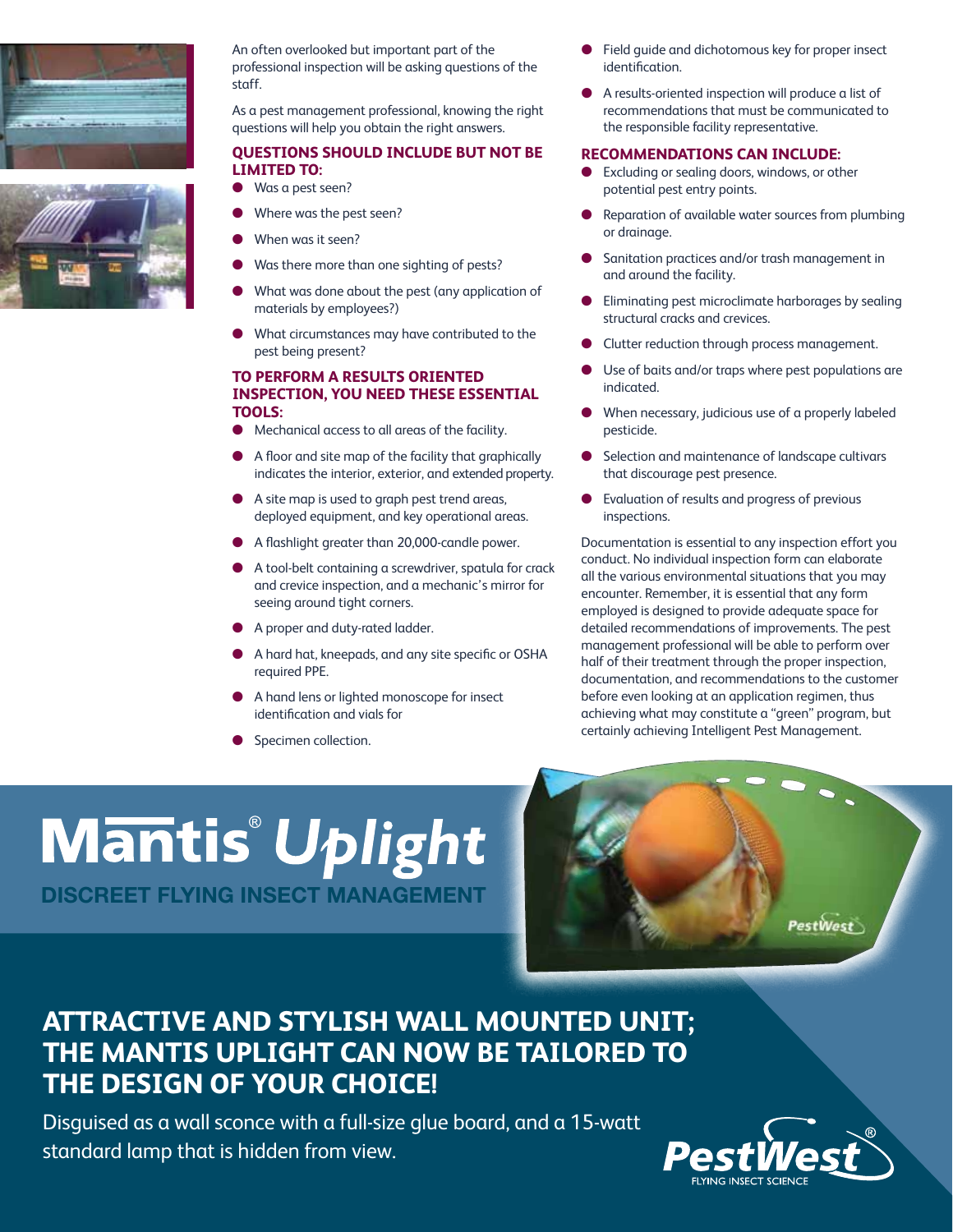



An often overlooked but important part of the professional inspection will be asking questions of the staff.

As a pest management professional, knowing the right questions will help you obtain the right answers.

# **Questions should include but not be limited to:**

- Was a pest seen?
- Where was the pest seen?
- When was it seen?
- Was there more than one sighting of pests?
- What was done about the pest (any application of materials by employees?)
- What circumstances may have contributed to the pest being present?

# **To perform a results oriented inspection, you need these essential tools:**

- Mechanical access to all areas of the facility.
- A floor and site map of the facility that graphically indicates the interior, exterior, and extended property.
- l A site map is used to graph pest trend areas, deployed equipment, and key operational areas.
- A flashlight greater than 20,000-candle power.
- l A tool-belt containing a screwdriver, spatula for crack and crevice inspection, and a mechanic's mirror for seeing around tight corners.
- **A proper and duty-rated ladder.**
- A hard hat, kneepads, and any site specific or OSHA required PPE.
- A hand lens or lighted monoscope for insect identification and vials for
- **•** Specimen collection.
- Field quide and dichotomous key for proper insect identification.
- A results-oriented inspection will produce a list of recommendations that must be communicated to the responsible facility representative.

# **Recommendations can include:**

- **Excluding or sealing doors, windows, or other** potential pest entry points.
- l Reparation of available water sources from plumbing or drainage.
- Sanitation practices and/or trash management in and around the facility.
- l Eliminating pest microclimate harborages by sealing structural cracks and crevices.
- Clutter reduction through process management.
- Use of baits and/or traps where pest populations are indicated.
- When necessary, judicious use of a properly labeled pesticide.
- Selection and maintenance of landscape cultivars that discourage pest presence.
- Evaluation of results and progress of previous inspections.

Documentation is essential to any inspection effort you conduct. No individual inspection form can elaborate all the various environmental situations that you may encounter. Remember, it is essential that any form employed is designed to provide adequate space for detailed recommendations of improvements. The pest management professional will be able to perform over half of their treatment through the proper inspection, documentation, and recommendations to the customer before even looking at an application regimen, thus achieving what may constitute a "green" program, but certainly achieving Intelligent Pest Management.

# **Mantis Uplight** DISCREET FLYING INSECT M



# **Attractive and stylish wall mounted unit; the Mantis Uplight can now be tailored to the design of your choice!**

Disguised as a wall sconce with a full-size glue board, and a 15-watt standard lamp that is hidden from view.

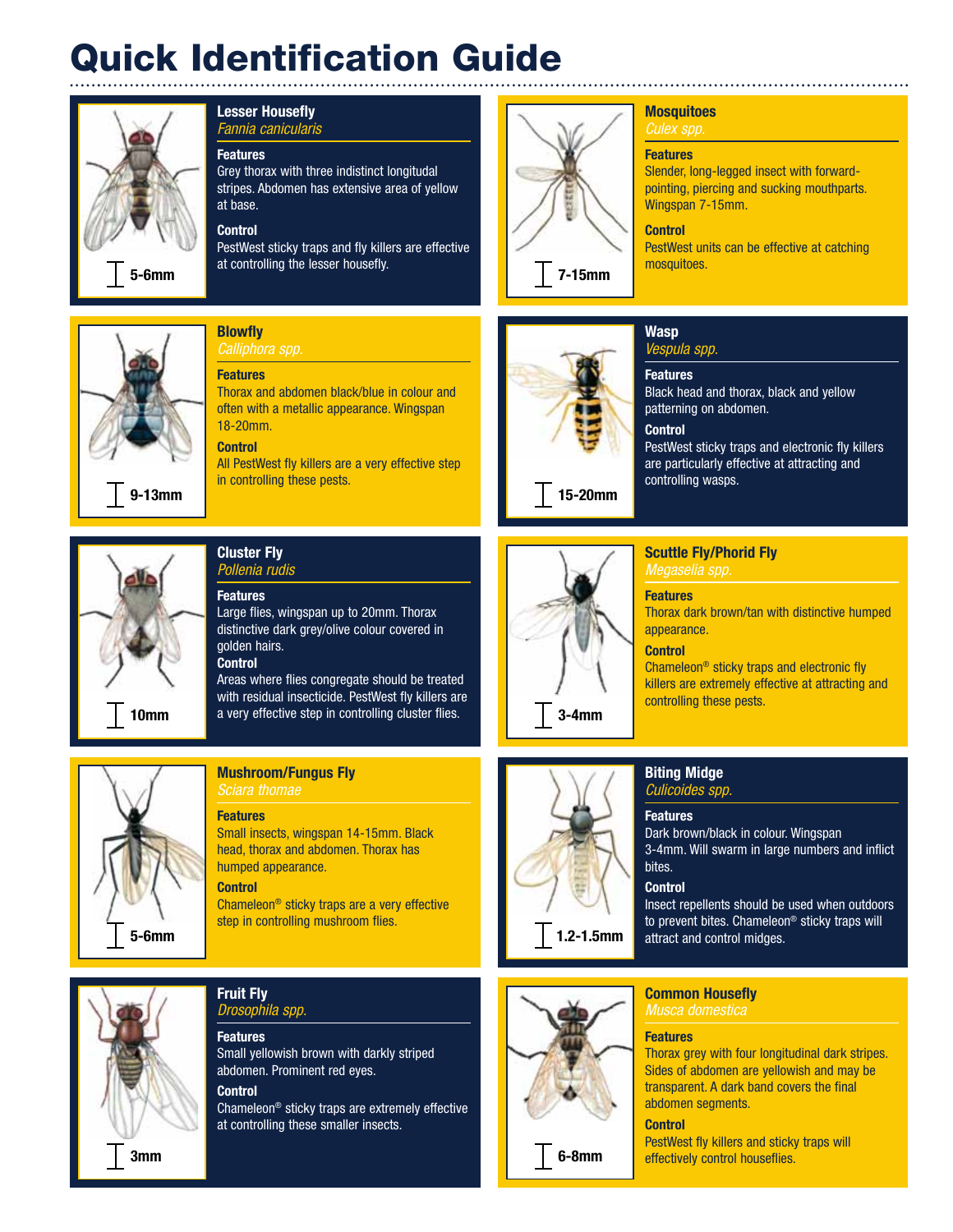# Quick Identification Guide



# Lesser Housefly *Fannia canicularis*

# **Features**

Grey thorax with three indistinct longitudal stripes. Abdomen has extensive area of yellow at base.

# Control

**Blowfly** 

Features

18-20mm. **Control** 

PestWest sticky traps and fly killers are effective at controlling the lesser housefly.

Thorax and abdomen black/blue in colour and often with a metallic appearance. Wingspan

All PestWest fly killers are a very effective step



 $|7-15$ mm

# **Mosquitoes**

# *Culex spp.*

# **Features**

Slender, long-legged insect with forwardpointing, piercing and sucking mouthparts. Wingspan 7-15mm.

# **Control**

PestWest units can be effective at catching mosquitoes.



9-13mm



# Cluster Fly *Pollenia rudis*

in controlling these pests.

Features Large flies, wingspan up to 20mm. Thorax distinctive dark grey/olive colour covered in golden hairs. **Control** 

Areas where flies congregate should be treated with residual insecticide. PestWest fly killers are a very effective step in controlling cluster flies.



# Mushroom/Fungus Fly

*Sciara thomae* 

Features Small insects, wingspan 14-15mm. Black head, thorax and abdomen. Thorax has humped appearance.

# **Control**

Chameleon® sticky traps are a very effective step in controlling mushroom flies.



15-20mm



Common Housefly *Musca domestica* 

# **Features**

Thorax grey with four longitudinal dark stripes. Sides of abdomen are yellowish and may be transparent. A dark band covers the final abdomen segments.

## **Control**

6-8mm

PestWest fly killers and sticky traps will effectively control houseflies.



# Fruit Fly *Drosophila spp.*

**Features** Small yellowish brown with darkly striped abdomen. Prominent red eyes.

# **Control**

Chameleon® sticky traps are extremely effective at controlling these smaller insects.

**Wasp** *Vespula spp.*

# **Features**

Black head and thorax, black and yellow patterning on abdomen.

# **Control**

PestWest sticky traps and electronic fly killers are particularly effective at attracting and controlling wasps.

# Scuttle Fly/Phorid Fly *Megaselia spp.*

# Features

Thorax dark brown/tan with distinctive humped appearance.

# **Control**

Chameleon® sticky traps and electronic fly killers are extremely effective at attracting and controlling these pests.

# Biting Midge *Culicoides spp.*

# **Features**

Dark brown/black in colour. Wingspan 3-4mm. Will swarm in large numbers and inflict bites.

# **Control**

Insect repellents should be used when outdoors to prevent bites. Chameleon® sticky traps will attract and control midges.

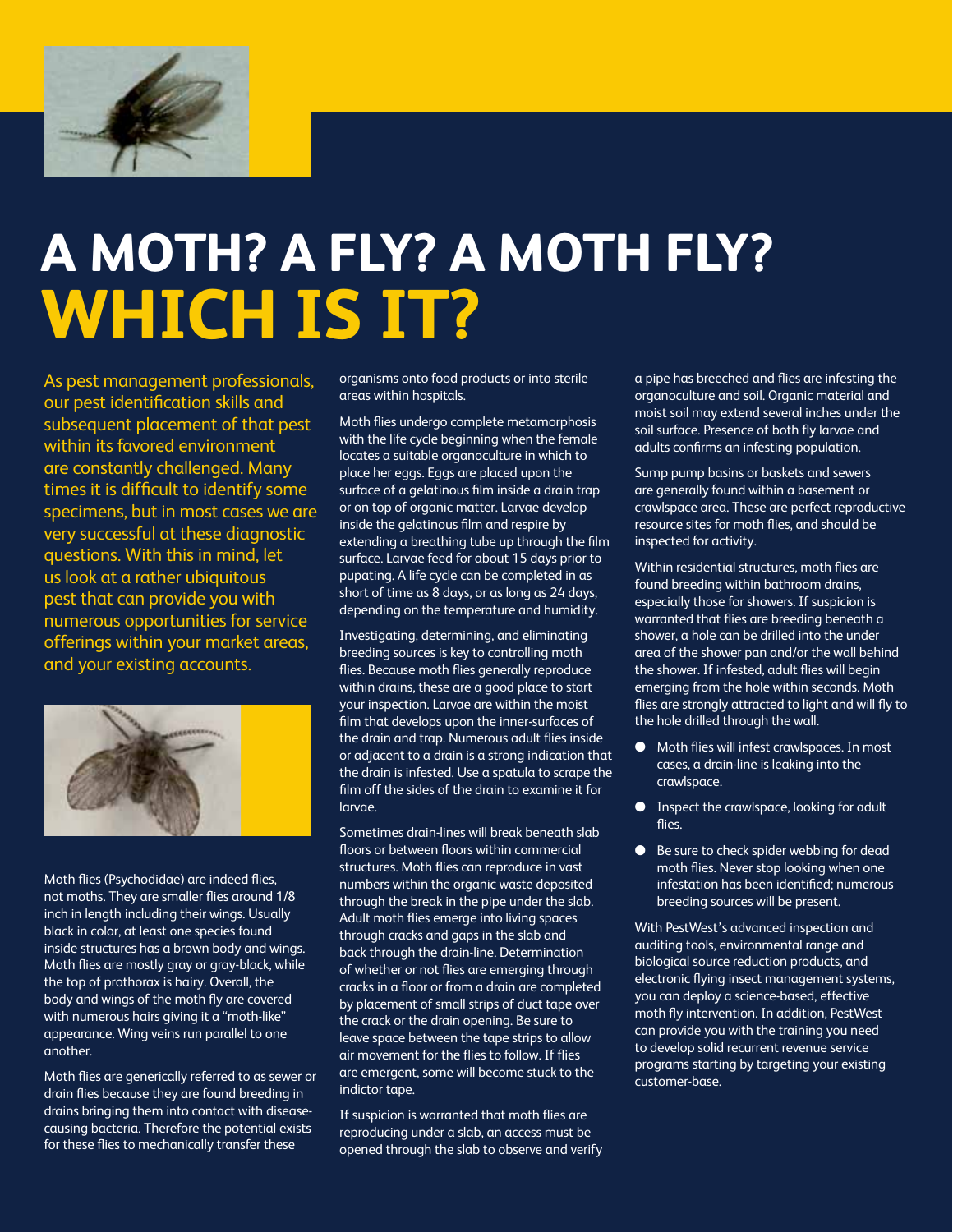

# **A Moth? A Fly? A Moth Fly? Which Is It?**

As pest management professionals, our pest identification skills and subsequent placement of that pest within its favored environment are constantly challenged. Many times it is difficult to identify some specimens, but in most cases we are very successful at these diagnostic questions. With this in mind, let us look at a rather ubiquitous pest that can provide you with numerous opportunities for service offerings within your market areas, and your existing accounts.



Moth flies (Psychodidae) are indeed flies, not moths. They are smaller flies around 1/8 inch in length including their wings. Usually black in color, at least one species found inside structures has a brown body and wings. Moth flies are mostly gray or gray-black, while the top of prothorax is hairy. Overall, the body and wings of the moth fly are covered with numerous hairs giving it a "moth-like" appearance. Wing veins run parallel to one another.

Moth flies are generically referred to as sewer or drain flies because they are found breeding in drains bringing them into contact with diseasecausing bacteria. Therefore the potential exists for these flies to mechanically transfer these

organisms onto food products or into sterile areas within hospitals.

Moth flies undergo complete metamorphosis with the life cycle beginning when the female locates a suitable organoculture in which to place her eggs. Eggs are placed upon the surface of a gelatinous film inside a drain trap or on top of organic matter. Larvae develop inside the gelatinous film and respire by extending a breathing tube up through the film surface. Larvae feed for about 15 days prior to pupating. A life cycle can be completed in as short of time as 8 days, or as long as 24 days, depending on the temperature and humidity.

Investigating, determining, and eliminating breeding sources is key to controlling moth flies. Because moth flies generally reproduce within drains, these are a good place to start your inspection. Larvae are within the moist film that develops upon the inner-surfaces of the drain and trap. Numerous adult flies inside or adjacent to a drain is a strong indication that the drain is infested. Use a spatula to scrape the film off the sides of the drain to examine it for larvae.

Sometimes drain-lines will break beneath slab floors or between floors within commercial structures. Moth flies can reproduce in vast numbers within the organic waste deposited through the break in the pipe under the slab. Adult moth flies emerge into living spaces through cracks and gaps in the slab and back through the drain-line. Determination of whether or not flies are emerging through cracks in a floor or from a drain are completed by placement of small strips of duct tape over the crack or the drain opening. Be sure to leave space between the tape strips to allow air movement for the flies to follow. If flies are emergent, some will become stuck to the indictor tape.

If suspicion is warranted that moth flies are reproducing under a slab, an access must be opened through the slab to observe and verify a pipe has breeched and flies are infesting the organoculture and soil. Organic material and moist soil may extend several inches under the soil surface. Presence of both fly larvae and adults confirms an infesting population.

Sump pump basins or baskets and sewers are generally found within a basement or crawlspace area. These are perfect reproductive resource sites for moth flies, and should be inspected for activity.

Within residential structures, moth flies are found breeding within bathroom drains, especially those for showers. If suspicion is warranted that flies are breeding beneath a shower, a hole can be drilled into the under area of the shower pan and/or the wall behind the shower. If infested, adult flies will begin emerging from the hole within seconds. Moth flies are strongly attracted to light and will fly to the hole drilled through the wall.

- Moth flies will infest crawlspaces. In most cases, a drain-line is leaking into the crawlspace.
- $\bullet$  Inspect the crawlspace, looking for adult flies.
- $\bullet$  Be sure to check spider webbing for dead moth flies. Never stop looking when one infestation has been identified; numerous breeding sources will be present.

With PestWest's advanced inspection and auditing tools, environmental range and biological source reduction products, and electronic flying insect management systems, you can deploy a science-based, effective moth fly intervention. In addition, PestWest can provide you with the training you need to develop solid recurrent revenue service programs starting by targeting your existing customer-base.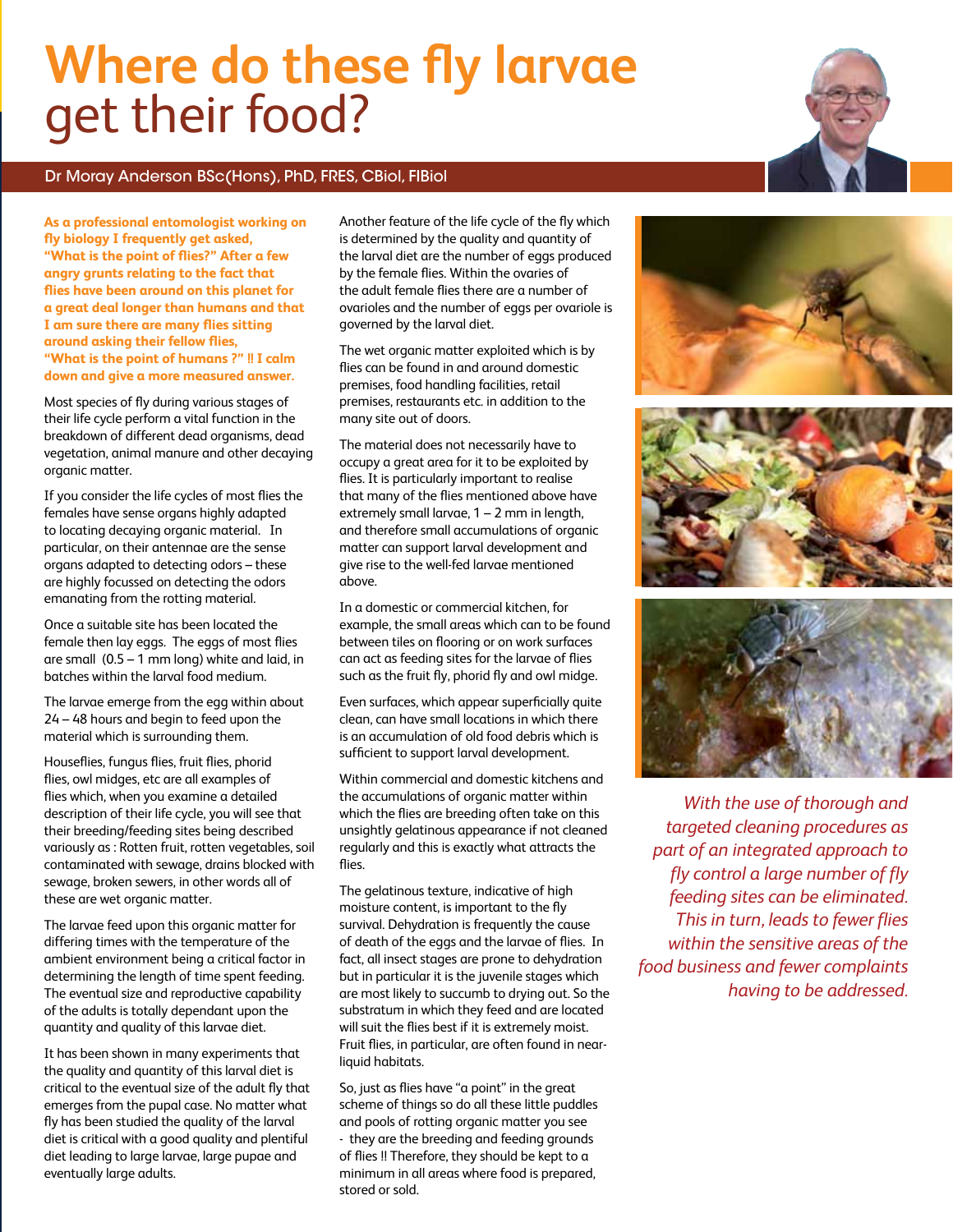# **Where do these fly larvae** get their food?

# Dr Moray Anderson BSc(Hons), PhD, FRES, CBiol, FIBiol

**As a professional entomologist working on fly biology I frequently get asked, "What is the point of flies?" After a few angry grunts relating to the fact that flies have been around on this planet for a great deal longer than humans and that I am sure there are many flies sitting around asking their fellow flies, "What is the point of humans ?" !! I calm down and give a more measured answer.**

Most species of fly during various stages of their life cycle perform a vital function in the breakdown of different dead organisms, dead vegetation, animal manure and other decaying organic matter.

If you consider the life cycles of most flies the females have sense organs highly adapted to locating decaying organic material. In particular, on their antennae are the sense organs adapted to detecting odors – these are highly focussed on detecting the odors emanating from the rotting material.

Once a suitable site has been located the female then lay eggs. The eggs of most flies are small (0.5 – 1 mm long) white and laid, in batches within the larval food medium.

The larvae emerge from the egg within about 24 – 48 hours and begin to feed upon the material which is surrounding them.

Houseflies, fungus flies, fruit flies, phorid flies, owl midges, etc are all examples of flies which, when you examine a detailed description of their life cycle, you will see that their breeding/feeding sites being described variously as : Rotten fruit, rotten vegetables, soil contaminated with sewage, drains blocked with sewage, broken sewers, in other words all of these are wet organic matter.

The larvae feed upon this organic matter for differing times with the temperature of the ambient environment being a critical factor in determining the length of time spent feeding. The eventual size and reproductive capability of the adults is totally dependant upon the quantity and quality of this larvae diet.

It has been shown in many experiments that the quality and quantity of this larval diet is critical to the eventual size of the adult fly that emerges from the pupal case. No matter what fly has been studied the quality of the larval diet is critical with a good quality and plentiful diet leading to large larvae, large pupae and eventually large adults.

Another feature of the life cycle of the fly which is determined by the quality and quantity of the larval diet are the number of eggs produced by the female flies. Within the ovaries of the adult female flies there are a number of ovarioles and the number of eggs per ovariole is governed by the larval diet.

The wet organic matter exploited which is by flies can be found in and around domestic premises, food handling facilities, retail premises, restaurants etc. in addition to the many site out of doors.

The material does not necessarily have to occupy a great area for it to be exploited by flies. It is particularly important to realise that many of the flies mentioned above have extremely small larvae, 1 – 2 mm in length, and therefore small accumulations of organic matter can support larval development and give rise to the well-fed larvae mentioned above.

In a domestic or commercial kitchen, for example, the small areas which can to be found between tiles on flooring or on work surfaces can act as feeding sites for the larvae of flies such as the fruit fly, phorid fly and owl midge.

Even surfaces, which appear superficially quite clean, can have small locations in which there is an accumulation of old food debris which is sufficient to support larval development.

Within commercial and domestic kitchens and the accumulations of organic matter within which the flies are breeding often take on this unsightly gelatinous appearance if not cleaned regularly and this is exactly what attracts the flies.

The gelatinous texture, indicative of high moisture content, is important to the fly survival. Dehydration is frequently the cause of death of the eggs and the larvae of flies. In fact, all insect stages are prone to dehydration but in particular it is the juvenile stages which are most likely to succumb to drying out. So the substratum in which they feed and are located will suit the flies best if it is extremely moist. Fruit flies, in particular, are often found in nearliquid habitats.

So, just as flies have "a point" in the great scheme of things so do all these little puddles and pools of rotting organic matter you see - they are the breeding and feeding grounds of flies !! Therefore, they should be kept to a minimum in all areas where food is prepared, stored or sold.







*With the use of thorough and targeted cleaning procedures as part of an integrated approach to fly control a large number of fly feeding sites can be eliminated. This in turn, leads to fewer flies within the sensitive areas of the food business and fewer complaints having to be addressed.*